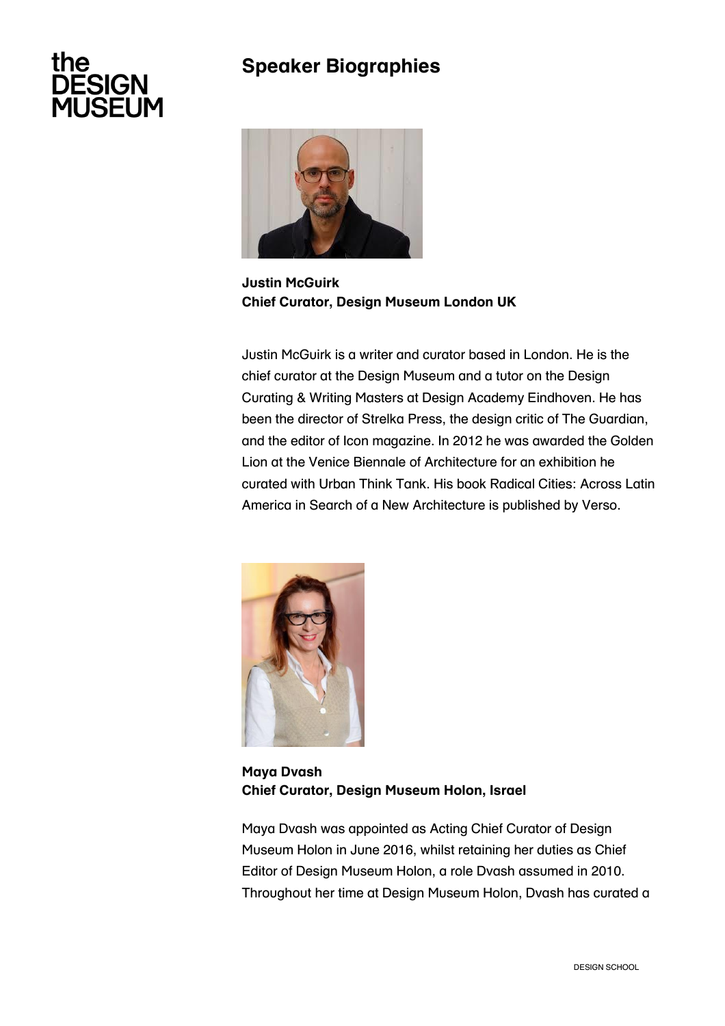## the **ESIGN JSEUM**

## **Speaker Biographies**



**Justin McGuirk Chief Curator, Design Museum London UK**

Justin McGuirk is a writer and curator based in London. He is the chief curator at the Design Museum and a tutor on the Design Curating & Writing Masters at Design Academy Eindhoven. He has been the director of Strelka Press, the design critic of The Guardian, and the editor of Icon magazine. In 2012 he was awarded the Golden Lion at the Venice Biennale of Architecture for an exhibition he curated with Urban Think Tank. His book Radical Cities: Across Latin America in Search of a New Architecture is published by Verso.



**Maya Dvash Chief Curator, Design Museum Holon, Israel**

Maya Dvash was appointed as Acting Chief Curator of Design Museum Holon in June 2016, whilst retaining her duties as Chief Editor of Design Museum Holon, a role Dvash assumed in 2010. Throughout her time at Design Museum Holon, Dvash has curated a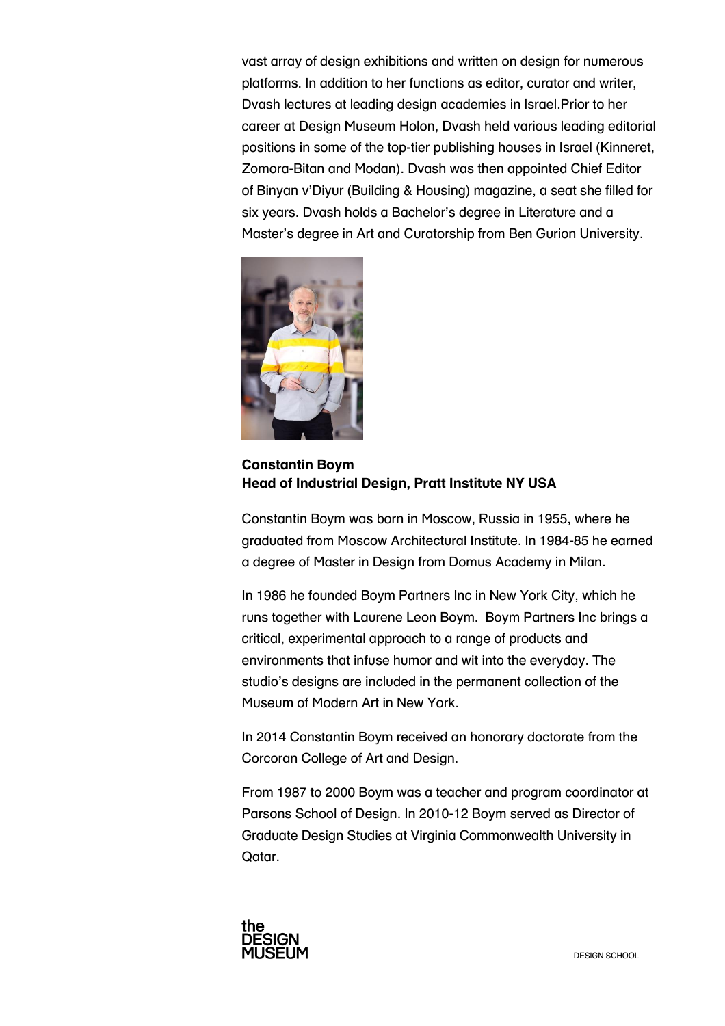vast array of design exhibitions and written on design for numerous platforms. In addition to her functions as editor, curator and writer, Dvash lectures at leading design academies in Israel.Prior to her career at Design Museum Holon, Dvash held various leading editorial positions in some of the top-tier publishing houses in Israel (Kinneret, Zomora-Bitan and Modan). Dvash was then appointed Chief Editor of Binyan v'Diyur (Building & Housing) magazine, a seat she filled for six years. Dvash holds a Bachelor's degree in Literature and a Master's degree in Art and Curatorship from Ben Gurion University.



**Constantin Boym Head of Industrial Design, Pratt Institute NY USA**

Constantin Boym was born in Moscow, Russia in 1955, where he graduated from Moscow Architectural Institute. In 1984-85 he earned a degree of Master in Design from Domus Academy in Milan.

In 1986 he founded Boym Partners Inc in New York City, which he runs together with Laurene Leon Boym. Boym Partners Inc brings a critical, experimental approach to a range of products and environments that infuse humor and wit into the everyday. The studio's designs are included in the permanent collection of the Museum of Modern Art in New York.

In 2014 Constantin Boym received an honorary doctorate from the Corcoran College of Art and Design.

From 1987 to 2000 Boym was a teacher and program coordinator at Parsons School of Design. In 2010-12 Boym served as Director of Graduate Design Studies at Virginia Commonwealth University in Qatar.

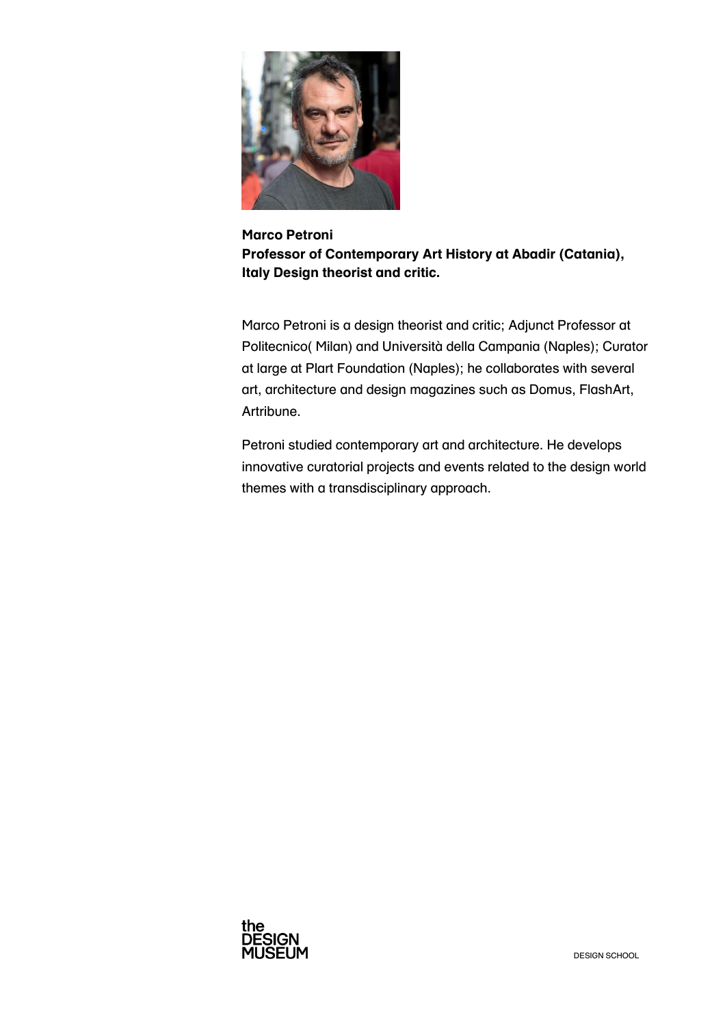

**Marco Petroni Professor of Contemporary Art History at Abadir (Catania), Italy Design theorist and critic.**

Marco Petroni is a design theorist and critic; Adjunct Professor at Politecnico( Milan) and Università della Campania (Naples); Curator at large at Plart Foundation (Naples); he collaborates with several art, architecture and design magazines such as Domus, FlashArt, Artribune.

Petroni studied contemporary art and architecture. He develops innovative curatorial projects and events related to the design world themes with a transdisciplinary approach.

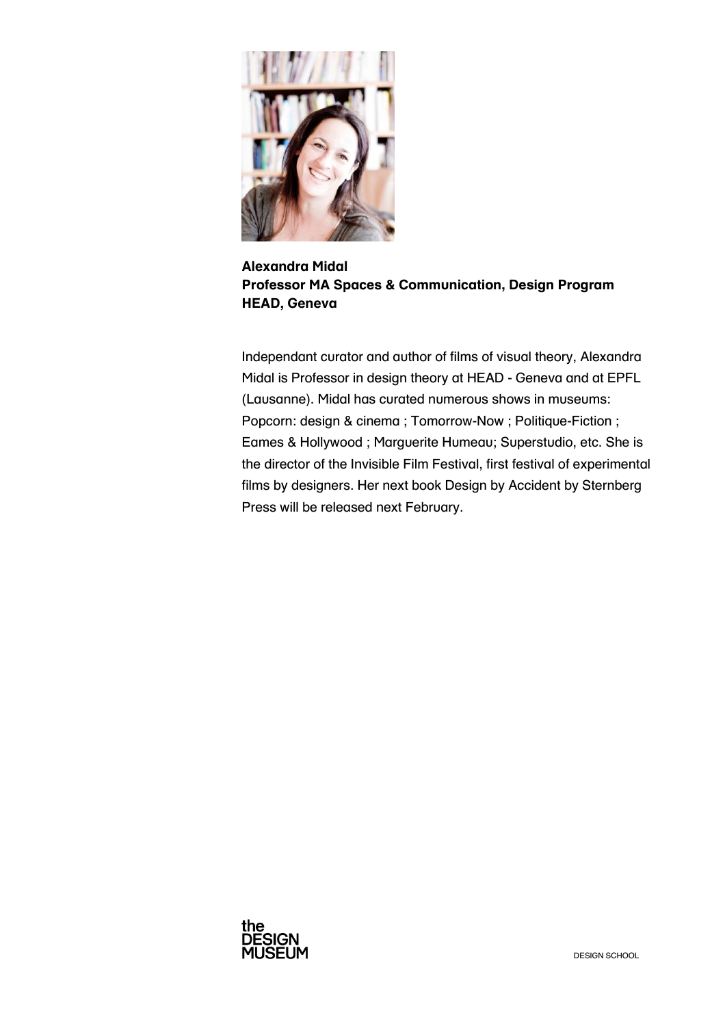

**Alexandra Midal Professor MA Spaces & Communication, Design Program HEAD, Geneva**

Independant curator and author of films of visual theory, Alexandra Midal is Professor in design theory at HEAD - Geneva and at EPFL (Lausanne). Midal has curated numerous shows in museums: Popcorn: design & cinema ; Tomorrow-Now ; Politique-Fiction ; Eames & Hollywood ; Marguerite Humeau; Superstudio, etc. She is the director of the Invisible Film Festival, first festival of experimental films by designers. Her next book Design by Accident by Sternberg Press will be released next February.

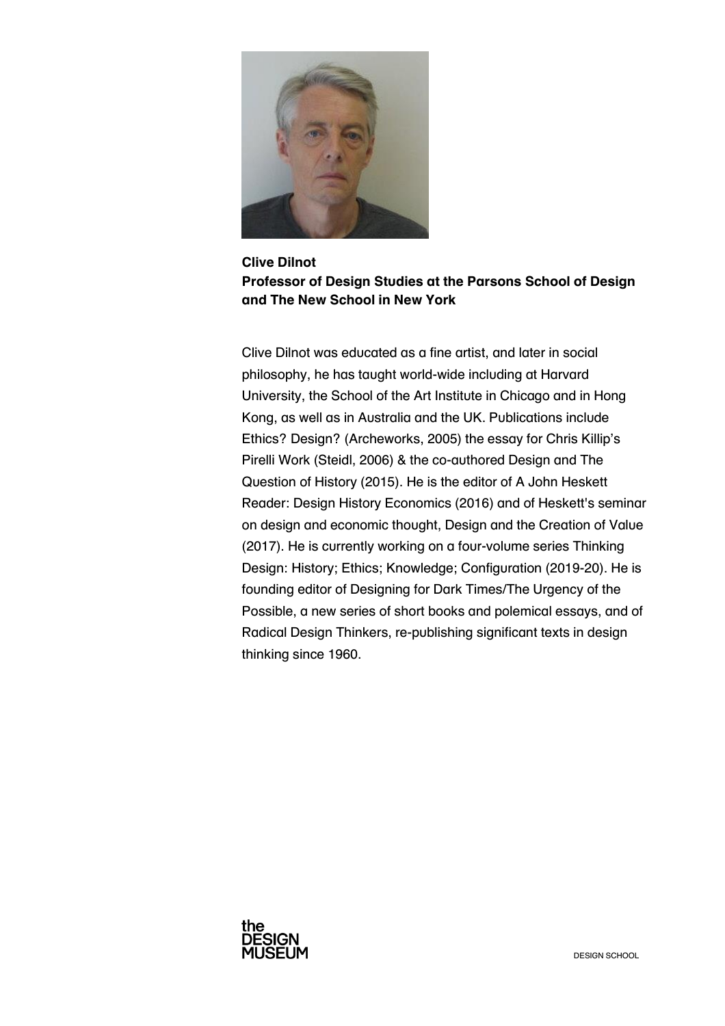

**Clive Dilnot Professor of Design Studies at the Parsons School of Design and The New School in New York**

Clive Dilnot was educated as a fine artist, and later in social philosophy, he has taught world-wide including at Harvard University, the School of the Art Institute in Chicago and in Hong Kong, as well as in Australia and the UK. Publications include Ethics? Design? (Archeworks, 2005) the essay for Chris Killip's Pirelli Work (Steidl, 2006) & the co-authored Design and The Question of History (2015). He is the editor of A John Heskett Reader: Design History Economics (2016) and of Heskett's seminar on design and economic thought, Design and the Creation of Value (2017). He is currently working on a four-volume series Thinking Design: History; Ethics; Knowledge; Configuration (2019-20). He is founding editor of Designing for Dark Times/The Urgency of the Possible, a new series of short books and polemical essays, and of Radical Design Thinkers, re-publishing significant texts in design thinking since 1960.